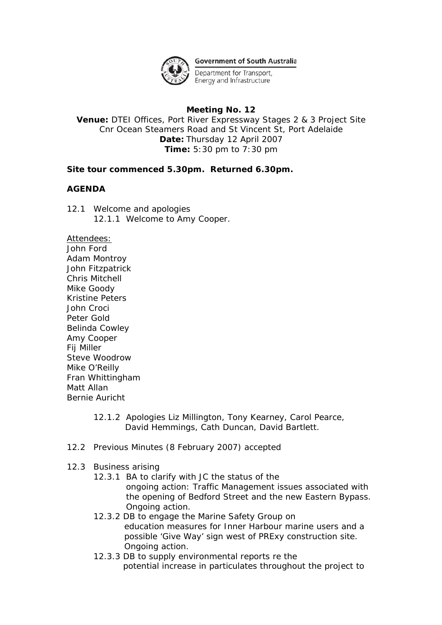

**Government of South Australia** 

Department for Transport, Energy and Infrastructure

# **Meeting No. 12**

**Venue:** DTEI Offices, Port River Expressway Stages 2 & 3 Project Site Cnr Ocean Steamers Road and St Vincent St, Port Adelaide **Date:** Thursday 12 April 2007 **Time:** 5:30 pm to 7:30 pm

## *Site tour commenced 5.30pm. Returned 6.30pm.*

## *AGENDA*

12.1 Welcome and apologies 12.1.1 Welcome to Amy Cooper.

Attendees:

John Ford Adam Montroy John Fitzpatrick Chris Mitchell Mike Goody Kristine Peters John Croci Peter Gold Belinda Cowley Amy Cooper Fij Miller Steve Woodrow Mike O'Reilly Fran Whittingham Matt Allan Bernie Auricht

- 12.1.2 Apologies Liz Millington, Tony Kearney, Carol Pearce, David Hemmings, Cath Duncan, David Bartlett.
- 12.2 Previous Minutes (8 February 2007) accepted

### 12.3 Business arising

- 12.3.1 BA to clarify with JC the status of the ongoing action: Traffic Management issues associated with the opening of Bedford Street and the new Eastern Bypass. Ongoing action.
- 12.3.2 DB to engage the Marine Safety Group on education measures for Inner Harbour marine users and a possible 'Give Way' sign west of PRExy construction site. Ongoing action.
- 12.3.3 DB to supply environmental reports re the potential increase in particulates throughout the project to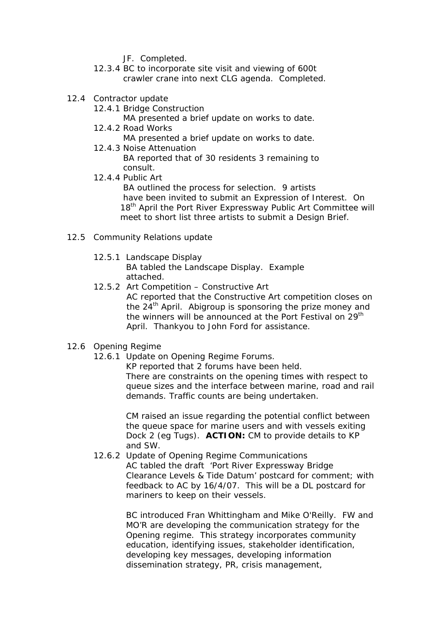- JF. Completed.
- 12.3.4 BC to incorporate site visit and viewing of 600t crawler crane into next CLG agenda. Completed.
- 12.4 Contractor update
	- 12.4.1 Bridge Construction

MA presented a brief update on works to date.

12.4.2 Road Works

MA presented a brief update on works to date.

12.4.3 Noise Attenuation

 BA reported that of 30 residents 3 remaining to consult.

12.4.4 Public Art

 BA outlined the process for selection. 9 artists have been invited to submit an Expression of Interest. On 18<sup>th</sup> April the Port River Expressway Public Art Committee will meet to short list three artists to submit a Design Brief.

- 12.5 Community Relations update
	- 12.5.1 Landscape Display

 BA tabled the Landscape Display. Example attached.

12.5.2 Art Competition – Constructive Art AC reported that the Constructive Art competition closes on the  $24<sup>th</sup>$  April. Abigroup is sponsoring the prize money and the winners will be announced at the Port Festival on 29<sup>th</sup> April. Thankyou to John Ford for assistance.

# 12.6 Opening Regime

12.6.1 Update on Opening Regime Forums.

 KP reported that 2 forums have been held. There are constraints on the opening times with respect to queue sizes and the interface between marine, road and rail demands. Traffic counts are being undertaken.

 CM raised an issue regarding the potential conflict between the queue space for marine users and with vessels exiting Dock 2 (eg Tugs). **ACTION:** CM to provide details to KP and SW.

 12.6.2 Update of Opening Regime Communications AC tabled the draft 'Port River Expressway Bridge Clearance Levels & Tide Datum' postcard for comment; with feedback to AC by 16/4/07. This will be a DL postcard for mariners to keep on their vessels.

> BC introduced Fran Whittingham and Mike O'Reilly. FW and MO'R are developing the communication strategy for the Opening regime. This strategy incorporates community education, identifying issues, stakeholder identification, developing key messages, developing information dissemination strategy, PR, crisis management,